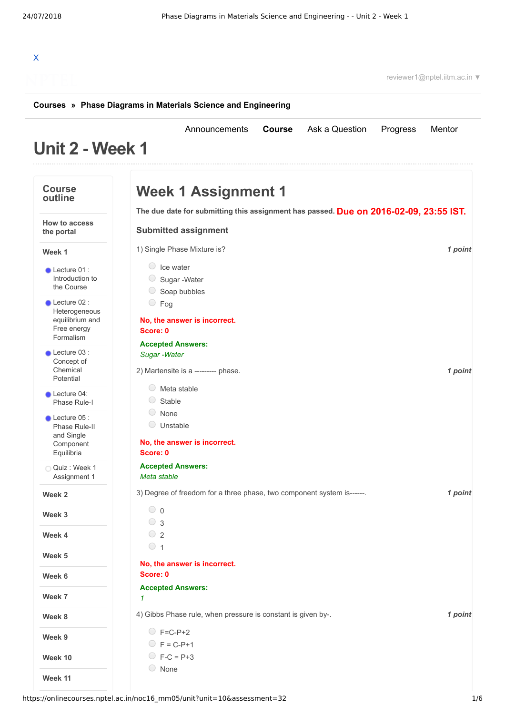[Announcements](https://onlinecourses.nptel.ac.in/noc16_mm05/announcements) **[Course](https://onlinecourses.nptel.ac.in/noc16_mm05/course)** [Ask a Question](https://onlinecourses.nptel.ac.in/noc16_mm05/forum) [Progress](https://onlinecourses.nptel.ac.in/noc16_mm05/student/home) [Mentor](https://onlinecourses.nptel.ac.in/noc16_mm05/student/mentor)

# X

reviewer1@nptel.iitm.ac.in ▼

#### **[Courses](https://onlinecourses.nptel.ac.in/) » [Phase Diagrams in Materials Science and Engineering](https://onlinecourses.nptel.ac.in/noc16_mm05/course)**

## **Unit 2 - Week 1**

| <b>Course</b><br>outline                                | <b>Week 1 Assignment 1</b>                                                            |         |
|---------------------------------------------------------|---------------------------------------------------------------------------------------|---------|
|                                                         | The due date for submitting this assignment has passed. Due on 2016-02-09, 23:55 IST. |         |
| How to access<br>the portal                             | <b>Submitted assignment</b>                                                           |         |
| Week 1                                                  | 1) Single Phase Mixture is?                                                           | 1 point |
| $\bullet$ Lecture 01 :<br>Introduction to<br>the Course | $\circ$ Ice water<br>Sugar-Water<br>Soap bubbles                                      |         |
| $\bullet$ Lecture 02 :<br>Heterogeneous                 | $\circ$ Fog                                                                           |         |
| equilibrium and<br>Free energy<br>Formalism             | No, the answer is incorrect.<br>Score: 0                                              |         |
| $\bullet$ Lecture 03 :                                  | <b>Accepted Answers:</b><br>Sugar - Water                                             |         |
| Concept of<br>Chemical<br>Potential                     | 2) Martensite is a --------- phase.                                                   | 1 point |
| Lecture 04:<br>Phase Rule-I                             | 0<br>Meta stable<br>$\bigcirc$<br>Stable                                              |         |
| $\bullet$ Lecture 05 :<br>Phase Rule-II<br>and Single   | $\bigcirc$<br>None<br>O<br>Unstable                                                   |         |
| Component<br>Equilibria                                 | No, the answer is incorrect.<br>Score: 0                                              |         |
| Quiz: Week 1                                            | <b>Accepted Answers:</b>                                                              |         |
| Assignment 1                                            | Meta stable                                                                           |         |
| Week 2                                                  | 3) Degree of freedom for a three phase, two component system is------.                | 1 point |
| Week 3                                                  | $\circ$ 0<br>$\circ$ 3                                                                |         |
| Week 4                                                  | $\circ$ 2                                                                             |         |
|                                                         | $\circ$ 1                                                                             |         |
| Week 5                                                  | No, the answer is incorrect.                                                          |         |
| Week 6                                                  | Score: 0                                                                              |         |
| Week 7                                                  | <b>Accepted Answers:</b><br>1                                                         |         |
| Week 8                                                  | 4) Gibbs Phase rule, when pressure is constant is given by-.                          | 1 point |
| Week 9                                                  | $C$ F=C-P+2                                                                           |         |
|                                                         | $\bigcirc$ F = C-P+1                                                                  |         |
| Week 10                                                 | $\bigcirc$ F-C = P+3                                                                  |         |
| Week 11                                                 | O None                                                                                |         |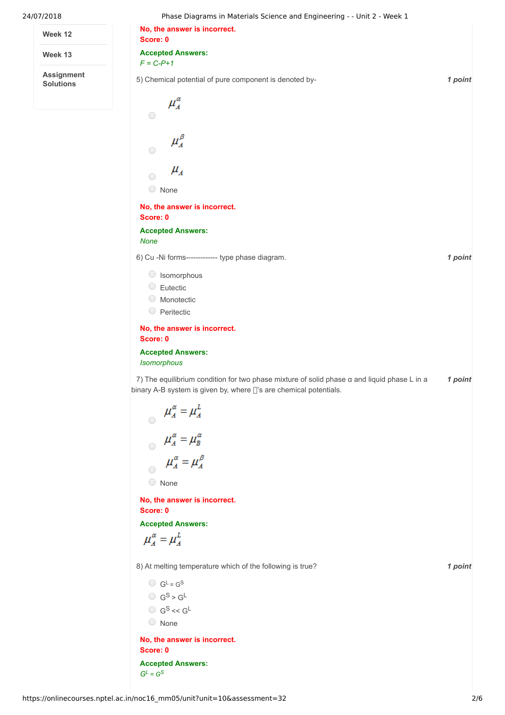| 24/07/2018                            | Phase Diagrams in Materials Science and Engineering - - Unit 2 - Week 1                                                                                           |         |
|---------------------------------------|-------------------------------------------------------------------------------------------------------------------------------------------------------------------|---------|
| Week 12                               | No, the answer is incorrect.<br>Score: 0                                                                                                                          |         |
| Week 13                               | <b>Accepted Answers:</b><br>$F = C-P+1$                                                                                                                           |         |
| <b>Assignment</b><br><b>Solutions</b> | 5) Chemical potential of pure component is denoted by-                                                                                                            | 1 point |
|                                       | $\mu_A^{\alpha}$<br>$\bigcirc$                                                                                                                                    |         |
|                                       |                                                                                                                                                                   |         |
|                                       | $\mu_A^\beta$<br>$\bigcirc$                                                                                                                                       |         |
|                                       | $\mu_{_A}$                                                                                                                                                        |         |
|                                       | $\bigcirc$<br>None                                                                                                                                                |         |
|                                       | No, the answer is incorrect.<br>Score: 0                                                                                                                          |         |
|                                       | <b>Accepted Answers:</b>                                                                                                                                          |         |
|                                       | <b>None</b><br>6) Cu -Ni forms-------------- type phase diagram.                                                                                                  | 1 point |
|                                       | Simorphous                                                                                                                                                        |         |
|                                       | $\bigcirc$<br>Eutectic                                                                                                                                            |         |
|                                       | <b>Monotectic</b><br>$\bigcirc$<br>Peritectic                                                                                                                     |         |
|                                       | No, the answer is incorrect.                                                                                                                                      |         |
|                                       | Score: 0                                                                                                                                                          |         |
|                                       | <b>Accepted Answers:</b><br>Isomorphous                                                                                                                           |         |
|                                       | 7) The equilibrium condition for two phase mixture of solid phase a and liquid phase L in a<br>binary A-B system is given by, where []'s are chemical potentials. | 1 point |
|                                       | $\begin{aligned}\n\mu_A^{\alpha} &= \mu_A^L \\ \mu_A^{\alpha} &= \mu_B^{\alpha} \\ \mu_A^{\alpha} &= \mu_A^{\beta}\n\end{aligned}$                                |         |
|                                       |                                                                                                                                                                   |         |
|                                       |                                                                                                                                                                   |         |
|                                       | $\bigcirc$ None                                                                                                                                                   |         |
|                                       | No, the answer is incorrect.                                                                                                                                      |         |
|                                       | Score: 0<br><b>Accepted Answers:</b>                                                                                                                              |         |
|                                       | $\mu_A^{\alpha} = \mu_A^L$                                                                                                                                        |         |
|                                       | 8) At melting temperature which of the following is true?                                                                                                         | 1 point |
|                                       | $GL = GS$                                                                                                                                                         |         |
|                                       | $\bigcirc$ $G^S > G^L$                                                                                                                                            |         |
|                                       | $\bigcirc$ $G^S \ll G^L$<br>◯ None                                                                                                                                |         |
|                                       | No, the answer is incorrect.                                                                                                                                      |         |
|                                       | Score: 0                                                                                                                                                          |         |

**Accepted Answers:**  $G^L = G^S$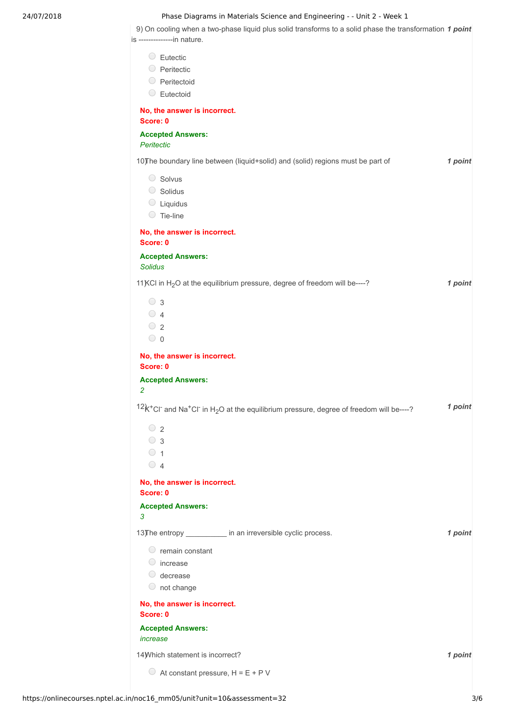#### 24/07/2018 Phase Diagrams in Materials Science and Engineering - - Unit 2 - Week 1

9) On cooling when a two-phase liquid plus solid transforms to a solid phase the transformation 1 point is --------------in nature.

| $\circ$ Eutectic                                                                                                                                       |         |
|--------------------------------------------------------------------------------------------------------------------------------------------------------|---------|
| O Peritectic                                                                                                                                           |         |
| <b>O</b> Peritectoid                                                                                                                                   |         |
| $\circ$ Eutectoid                                                                                                                                      |         |
| No, the answer is incorrect.<br>Score: 0                                                                                                               |         |
| <b>Accepted Answers:</b><br>Peritectic                                                                                                                 |         |
| 10) The boundary line between (liquid+solid) and (solid) regions must be part of                                                                       | 1 point |
| Solvus                                                                                                                                                 |         |
| Solidus                                                                                                                                                |         |
| $\circ$ Liquidus                                                                                                                                       |         |
| $\circ$ Tie-line                                                                                                                                       |         |
| No, the answer is incorrect.<br>Score: 0                                                                                                               |         |
| <b>Accepted Answers:</b><br><b>Solidus</b>                                                                                                             |         |
| 11 KCl in H <sub>2</sub> O at the equilibrium pressure, degree of freedom will be----?                                                                 | 1 point |
| $\circ$ 3                                                                                                                                              |         |
| $\bigcirc$ 4                                                                                                                                           |         |
| $\circ$ 2                                                                                                                                              |         |
| $\circ$ 0                                                                                                                                              |         |
| No, the answer is incorrect.<br>Score: 0                                                                                                               |         |
| <b>Accepted Answers:</b>                                                                                                                               |         |
| $\overline{2}$                                                                                                                                         |         |
| $12k$ <sup>+</sup> Cl <sup>-</sup> and Na <sup>+</sup> Cl <sup>-</sup> in H <sub>2</sub> O at the equilibrium pressure, degree of freedom will be----? | 1 point |
| $\circ$ 2                                                                                                                                              |         |
| $\circ$ 3                                                                                                                                              |         |
| $\circ$ 1                                                                                                                                              |         |
| $\bigcirc$ 4                                                                                                                                           |         |
| No, the answer is incorrect.<br>Score: 0                                                                                                               |         |
| <b>Accepted Answers:</b><br>3                                                                                                                          |         |
| 13) The entropy ____________ in an irreversible cyclic process.                                                                                        | 1 point |
| $\circ$ remain constant                                                                                                                                |         |
| $\circ$ increase                                                                                                                                       |         |
| $\circ$ decrease                                                                                                                                       |         |
| $\circ$ not change                                                                                                                                     |         |
| No, the answer is incorrect.<br>Score: 0                                                                                                               |         |
| <b>Accepted Answers:</b>                                                                                                                               |         |
| increase                                                                                                                                               |         |
| 14) Which statement is incorrect?                                                                                                                      | 1 point |
|                                                                                                                                                        |         |
| $\circ$ At constant pressure, H = E + P V                                                                                                              |         |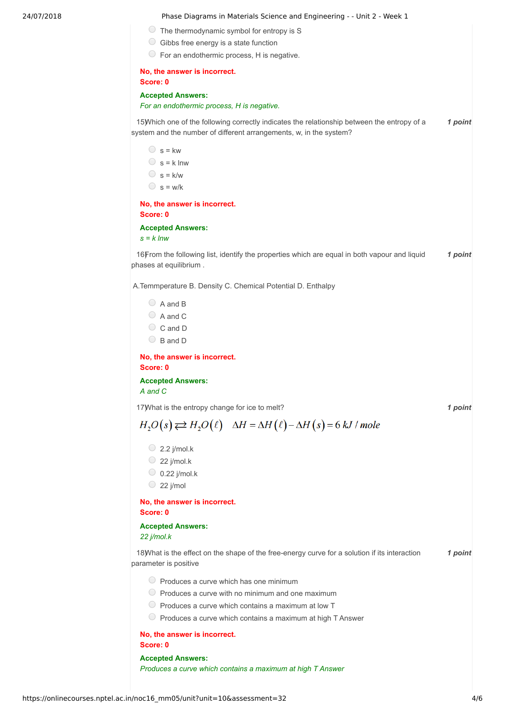#### 24/07/2018 Phase Diagrams in Materials Science and Engineering - - Unit 2 - Week 1

- $\circ$  The thermodynamic symbol for entropy is S
- $\circ$  Gibbs free energy is a state function
- For an endothermic process, H is negative.

#### **No, the answer is incorrect. Score: 0**

#### **Accepted Answers:** *For an endothermic process, H is negative.*

15) Which one of the following correctly indicates the relationship between the entropy of a **1 point** system and the number of different arrangements, w, in the system?

 $\circ$  s = kw  $\circ$  s = k lnw  $\bigcirc$  s = k/w  $\circ$  s = w/k

#### **No, the answer is incorrect. Score: 0**

**Accepted Answers:** *s = k lnw*

16) **16** From the following list, identify the properties which are equal in both vapour and liquid 1 point phases at equilibrium .

A.Temmperature B. Density C. Chemical Potential D. Enthalpy

 $\bigcirc$  A and B A and C C and D  $\bigcirc$  B and D

**No, the answer is incorrect. Score: 0**

**Accepted Answers:** *A and C*

17) *1 point* What is the entropy change for ice to melt?

$$
H_2O(s) \rightleftarrows H_2O(\ell) \quad \Delta H = \Delta H(\ell) - \Delta H(s) = 6 \, kJ \, / \, mole
$$

 $\bigcirc$  2.2 j/mol.k

- $\bigcirc$  22 j/mol.k
- $\bigcirc$  0.22 j/mol.k
- $\circ$  22 j/mol

**No, the answer is incorrect. Score: 0**

#### **Accepted Answers:**

*22 j/mol.k*

18) *Nhat is the effect on the shape of the free-energy curve for a solution if its interaction 1 point* parameter is positive

- $\circ$  Produces a curve which has one minimum
- $\circledcirc$  Produces a curve with no minimum and one maximum
- $\bigcirc$  Produces a curve which contains a maximum at low T
- $\bigcirc$  Produces a curve which contains a maximum at high T Answer

#### **No, the answer is incorrect.**

**Score: 0**

### **Accepted Answers:** *Produces a curve which contains a maximum at high T Answer*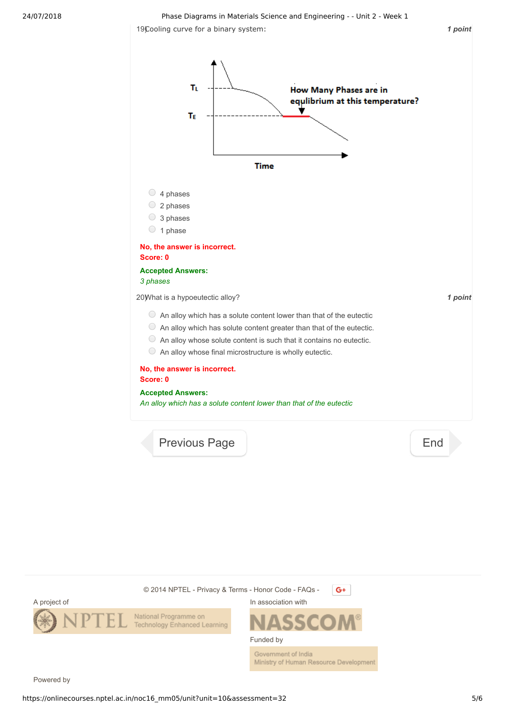19) *1 point* Cooling curve for a binary system:



Ministry of Human Resource Development